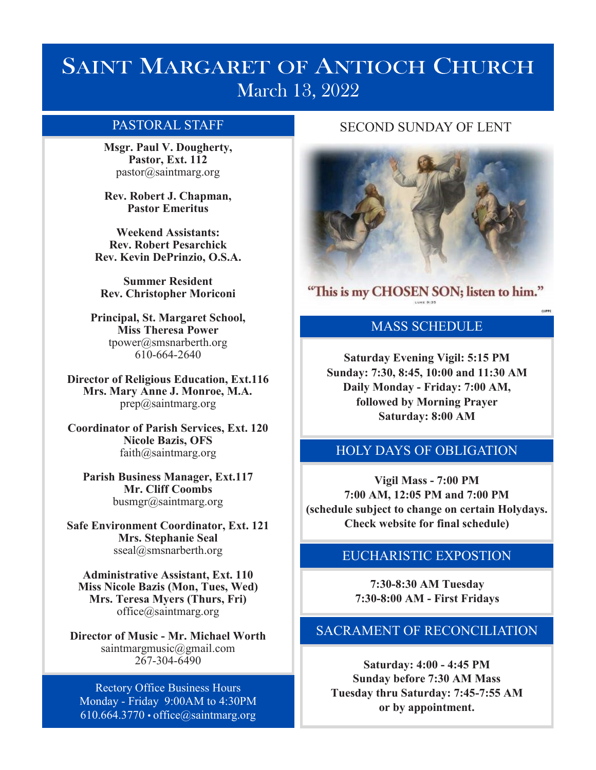# **SAINT MARGARET OF ANTIOCH CHURCH** March 13, 2022

**Msgr. Paul V. Dougherty, Pastor, Ext. 112** pastor@saintmarg.org

**Rev. Robert J. Chapman, Pastor Emeritus**

**Weekend Assistants: Rev. Robert Pesarchick Rev. Kevin DePrinzio, O.S.A.**

**Summer Resident Rev. Christopher Moriconi**

**Principal, St. Margaret School, Miss Theresa Power**  tpower@smsnarberth.org 610-664-2640

**Director of Religious Education, Ext.116 Mrs. Mary Anne J. Monroe, M.A.** prep@saintmarg.org

**Coordinator of Parish Services, Ext. 120 Nicole Bazis, OFS** faith@saintmarg.org

**Parish Business Manager, Ext.117 Mr. Cliff Coombs** busmgr@saintmarg.org

**Safe Environment Coordinator, Ext. 121 Mrs. Stephanie Seal** sseal@smsnarberth.org

**Administrative Assistant, Ext. 110 Miss Nicole Bazis (Mon, Tues, Wed) Mrs. Teresa Myers (Thurs, Fri)** office@saintmarg.org

**Director of Music - Mr. Michael Worth** saintmargmusic@gmail.com 267-304-6490

Rectory Office Business Hours Monday - Friday 9:00AM to 4:30PM  $610.664.3770 \cdot \text{office}(Q)\text{saintmarg.org}$ 

# PASTORAL STAFF SECOND SUNDAY OF LENT



"This is my CHOSEN SON; listen to him."

# MASS SCHEDULE

**Saturday Evening Vigil: 5:15 PM Sunday: 7:30, 8:45, 10:00 and 11:30 AM Daily Monday - Friday: 7:00 AM, followed by Morning Prayer Saturday: 8:00 AM**

# HOLY DAYS OF OBLIGATION

**Vigil Mass - 7:00 PM 7:00 AM, 12:05 PM and 7:00 PM (schedule subject to change on certain Holydays. Check website for final schedule)**

# EUCHARISTIC EXPOSTION

**7:30-8:30 AM Tuesday 7:30-8:00 AM - First Fridays**

# SACRAMENT OF RECONCILIATION

**Saturday: 4:00 - 4:45 PM Sunday before 7:30 AM Mass Tuesday thru Saturday: 7:45-7:55 AM or by appointment.**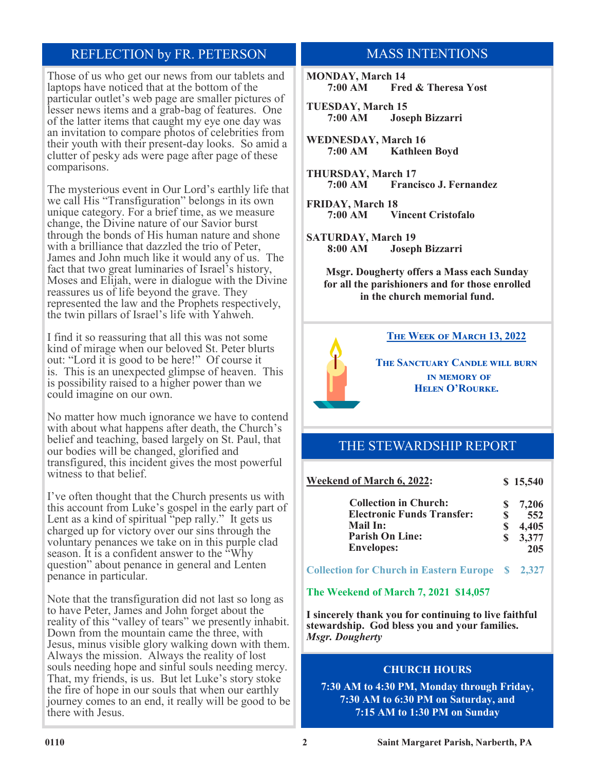# REFLECTION by FR. PETERSON

Those of us who get our news from our tablets and laptops have noticed that at the bottom of the particular outlet's web page are smaller pictures of lesser news items and a grab-bag of features. One of the latter items that caught my eye one day was an invitation to compare photos of celebrities from their youth with their present-day looks. So amid a clutter of pesky ads were page after page of these comparisons.

The mysterious event in Our Lord's earthly life that we call His "Transfiguration" belongs in its own unique category. For a brief time, as we measure change, the Divine nature of our Savior burst through the bonds of His human nature and shone with a brilliance that dazzled the trio of Peter, James and John much like it would any of us. The fact that two great luminaries of Israel's history, Moses and Elijah, were in dialogue with the Divine reassures us of life beyond the grave. They represented the law and the Prophets respectively, the twin pillars of Israel's life with Yahweh.

I find it so reassuring that all this was not some kind of mirage when our beloved St. Peter blurts out: "Lord it is good to be here!" Of course it is. This is an unexpected glimpse of heaven. This is possibility raised to a higher power than we could imagine on our own.

No matter how much ignorance we have to contend with about what happens after death, the Church's belief and teaching, based largely on St. Paul, that our bodies will be changed, glorified and transfigured, this incident gives the most powerful witness to that belief.

I've often thought that the Church presents us with this account from Luke's gospel in the early part of Lent as a kind of spiritual "pep rally." It gets us charged up for victory over our sins through the voluntary penances we take on in this purple clad season. It is a confident answer to the "Why" question" about penance in general and Lenten penance in particular.

Note that the transfiguration did not last so long as to have Peter, James and John forget about the reality of this "valley of tears" we presently inhabit. Down from the mountain came the three, with Jesus, minus visible glory walking down with them. Always the mission. Always the reality of lost souls needing hope and sinful souls needing mercy. That, my friends, is us. But let Luke's story stoke the fire of hope in our souls that when our earthly journey comes to an end, it really will be good to be there with Jesus.

# MASS INTENTIONS

**MONDAY, March 14 7:00 AM Fred & Theresa Yost**

**TUESDAY, March 15 7:00 AM Joseph Bizzarri**

**WEDNESDAY, March 16 7:00 AM Kathleen Boyd**

**THURSDAY, March 17 7:00 AM Francisco J. Fernandez**

**FRIDAY, March 18 7:00 AM Vincent Cristofalo**

**SATURDAY, March 19 8:00 AM Joseph Bizzarri**

> **Msgr. Dougherty offers a Mass each Sunday for all the parishioners and for those enrolled in the church memorial fund.**



### **The Week of March 13, 2022**

**The Sanctuary Candle will burn in memory of Helen O'Rourke.**

# THE STEWARDSHIP REPORT

| <b>Weekend of March 6, 2022:</b>  |   | \$15,540 |
|-----------------------------------|---|----------|
| <b>Collection in Church:</b>      | S | 7.206    |
| <b>Electronic Funds Transfer:</b> | S | 552      |
| Mail In:                          | S | 4,405    |
| <b>Parish On Line:</b>            | S | 3,377    |
| <b>Envelopes:</b>                 |   | 205      |

**Collection for Church in Eastern Europe \$ 2,327**

### **The Weekend of March 7, 2021 \$14,057**

**I sincerely thank you for continuing to live faithful stewardship. God bless you and your families.** *Msgr. Dougherty*

### **CHURCH HOURS**

**7:30 AM to 4:30 PM, Monday through Friday, 7:30 AM to 6:30 PM on Saturday, and 7:15 AM to 1:30 PM on Sunday**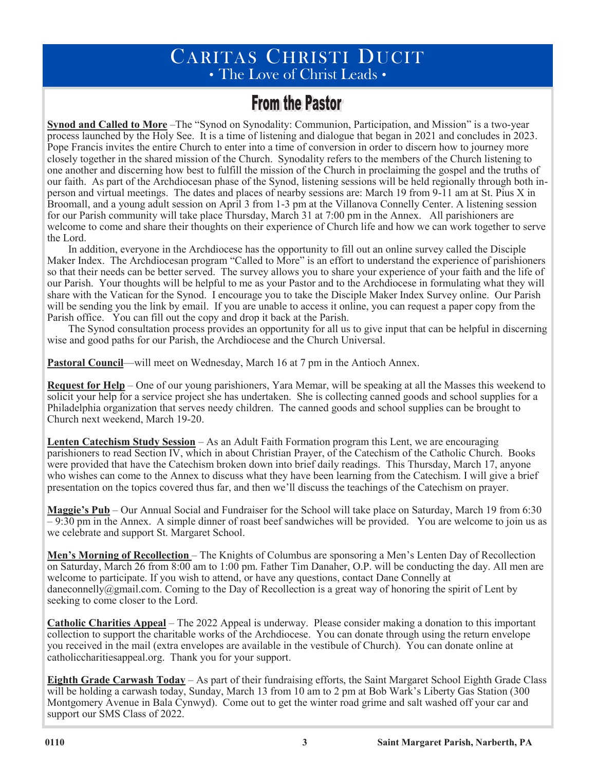# CARITAS CHRISTI DUCIT • The Love of Christ Leads •

# **From the Pastor**

**Synod and Called to More** –The "Synod on Synodality: Communion, Participation, and Mission" is a two-year process launched by the Holy See. It is a time of listening and dialogue that began in 2021 and concludes in 2023. Pope Francis invites the entire Church to enter into a time of conversion in order to discern how to journey more closely together in the shared mission of the Church. Synodality refers to the members of the Church listening to one another and discerning how best to fulfill the mission of the Church in proclaiming the gospel and the truths of our faith. As part of the Archdiocesan phase of the Synod, listening sessions will be held regionally through both inperson and virtual meetings. The dates and places of nearby sessions are: March 19 from 9-11 am at St. Pius X in Broomall, and a young adult session on April 3 from 1-3 pm at the Villanova Connelly Center. A listening session for our Parish community will take place Thursday, March 31 at 7:00 pm in the Annex. All parishioners are welcome to come and share their thoughts on their experience of Church life and how we can work together to serve the Lord.

In addition, everyone in the Archdiocese has the opportunity to fill out an online survey called the Disciple Maker Index. The Archdiocesan program "Called to More" is an effort to understand the experience of parishioners so that their needs can be better served. The survey allows you to share your experience of your faith and the life of our Parish. Your thoughts will be helpful to me as your Pastor and to the Archdiocese in formulating what they will share with the Vatican for the Synod. I encourage you to take the Disciple Maker Index Survey online. Our Parish will be sending you the link by email. If you are unable to access it online, you can request a paper copy from the Parish office. You can fill out the copy and drop it back at the Parish.

The Synod consultation process provides an opportunity for all us to give input that can be helpful in discerning wise and good paths for our Parish, the Archdiocese and the Church Universal.

**Pastoral Council—will meet on Wednesday, March 16 at 7 pm in the Antioch Annex.** 

**Request for Help** – One of our young parishioners, Yara Memar, will be speaking at all the Masses this weekend to solicit your help for a service project she has undertaken. She is collecting canned goods and school supplies for a Philadelphia organization that serves needy children. The canned goods and school supplies can be brought to Church next weekend, March 19-20.

**Lenten Catechism Study Session** – As an Adult Faith Formation program this Lent, we are encouraging parishioners to read Section IV, which in about Christian Prayer, of the Catechism of the Catholic Church. Books were provided that have the Catechism broken down into brief daily readings. This Thursday, March 17, anyone who wishes can come to the Annex to discuss what they have been learning from the Catechism. I will give a brief presentation on the topics covered thus far, and then we'll discuss the teachings of the Catechism on prayer.

**Maggie's Pub** – Our Annual Social and Fundraiser for the School will take place on Saturday, March 19 from 6:30 – 9:30 pm in the Annex. A simple dinner of roast beef sandwiches will be provided. You are welcome to join us as we celebrate and support St. Margaret School.

**Men's Morning of Recollection** – The Knights of Columbus are sponsoring a Men's Lenten Day of Recollection on Saturday, March 26 from 8:00 am to 1:00 pm. Father Tim Danaher, O.P. will be conducting the day. All men are welcome to participate. If you wish to attend, or have any questions, contact Dane Connelly at daneconnelly@gmail.com. Coming to the Day of Recollection is a great way of honoring the spirit of Lent by seeking to come closer to the Lord.

**Catholic Charities Appeal** – The 2022 Appeal is underway. Please consider making a donation to this important collection to support the charitable works of the Archdiocese. You can donate through using the return envelope you received in the mail (extra envelopes are available in the vestibule of Church). You can donate online at catholiccharitiesappeal.org. Thank you for your support.

**Eighth Grade Carwash Today** – As part of their fundraising efforts, the Saint Margaret School Eighth Grade Class will be holding a carwash today, Sunday, March 13 from 10 am to 2 pm at Bob Wark's Liberty Gas Station (300) Montgomery Avenue in Bala Cynwyd). Come out to get the winter road grime and salt washed off your car and support our SMS Class of 2022.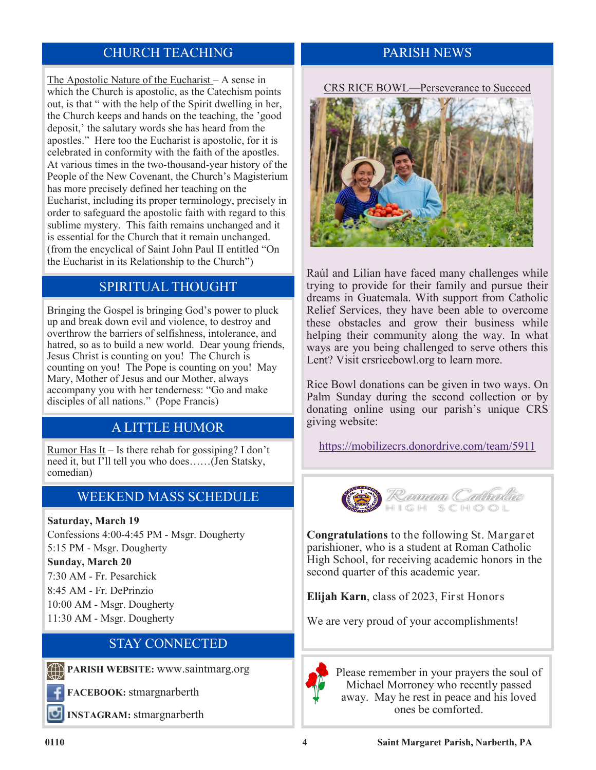# CHURCH TEACHING PARISH NEWS

The Apostolic Nature of the Eucharist – A sense in which the Church is apostolic, as the Catechism points out, is that " with the help of the Spirit dwelling in her, the Church keeps and hands on the teaching, the 'good deposit,' the salutary words she has heard from the apostles." Here too the Eucharist is apostolic, for it is celebrated in conformity with the faith of the apostles. At various times in the two-thousand-year history of the People of the New Covenant, the Church's Magisterium has more precisely defined her teaching on the Eucharist, including its proper terminology, precisely in order to safeguard the apostolic faith with regard to this sublime mystery. This faith remains unchanged and it is essential for the Church that it remain unchanged. (from the encyclical of Saint John Paul II entitled "On the Eucharist in its Relationship to the Church")

# SPIRITUAL THOUGHT

Bringing the Gospel is bringing God's power to pluck up and break down evil and violence, to destroy and overthrow the barriers of selfishness, intolerance, and hatred, so as to build a new world. Dear young friends, Jesus Christ is counting on you! The Church is counting on you! The Pope is counting on you! May Mary, Mother of Jesus and our Mother, always accompany you with her tenderness: "Go and make disciples of all nations." (Pope Francis)

# A LITTLE HUMOR

Rumor Has It – Is there rehab for gossiping? I don't need it, but I'll tell you who does……(Jen Statsky, comedian)

# WEEKEND MASS SCHEDULE

### **Saturday, March 19**

Confessions 4:00-4:45 PM - Msgr. Dougherty 5:15 PM - Msgr. Dougherty

### **Sunday, March 20**

7:30 AM - Fr. Pesarchick 8:45 AM - Fr. DePrinzio 10:00 AM - Msgr. Dougherty 11:30 AM - Msgr. Dougherty

# STAY CONNECTED

**PARISH WEBSITE:** www.saintmarg.org

**FACEBOOK:** stmargnarberth

**INSTAGRAM:** stmargnarberth

CRS RICE BOWL—Perseverance to Succeed



Raúl and Lilian have faced many challenges while trying to provide for their family and pursue their dreams in Guatemala. With support from Catholic Relief Services, they have been able to overcome these obstacles and grow their business while helping their community along the way. In what ways are you being challenged to serve others this Lent? Visit crsricebowl.org to learn more.

Rice Bowl donations can be given in two ways. On Palm Sunday during the second collection or by donating online using our parish's unique CRS giving website:

<https://mobilizecrs.donordrive.com/team/5911>



**Congratulations** to the following St. Margaret parishioner, who is a student at Roman Catholic High School, for receiving academic honors in the second quarter of this academic year.

**Elijah Karn**, class of 2023, First Honors

We are very proud of your accomplishments!



Please remember in your prayers the soul of Michael Morroney who recently passed away. May he rest in peace and his loved ones be comforted.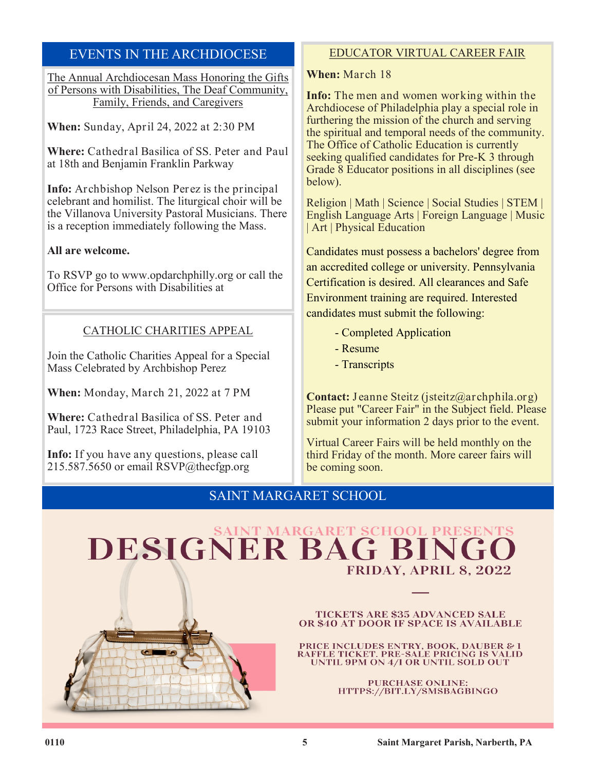# EVENTS IN THE ARCHDIOCESE

The Annual Archdiocesan Mass Honoring the Gifts of Persons with Disabilities, The Deaf Community, Family, Friends, and Caregivers

**When:** Sunday, April 24, 2022 at 2:30 PM

**Where:** Cathedral Basilica of SS. Peter and Paul at 18th and Benjamin Franklin Parkway

**Info:** Archbishop Nelson Perez is the principal celebrant and homilist. The liturgical choir will be the Villanova University Pastoral Musicians. There is a reception immediately following the Mass.

## **All are welcome.**

To RSVP go to www.opdarchphilly.org or call the Office for Persons with Disabilities at

# CATHOLIC CHARITIES APPEAL

Join the Catholic Charities Appeal for a Special Mass Celebrated by Archbishop Perez

**When:** Monday, March 21, 2022 at 7 PM

**Where:** Cathedral Basilica of SS. Peter and Paul, 1723 Race Street, Philadelphia, PA 19103

**Info:** If you have any questions, please call 215.587.5650 or email  $\text{RSVP}(a)$ thecfgp.org

# EDUCATOR VIRTUAL CAREER FAIR

**When:** March 18

**Info:** The men and women working within the Archdiocese of Philadelphia play a special role in furthering the mission of the church and serving the spiritual and temporal needs of the community. The Office of Catholic Education is currently seeking qualified candidates for Pre-K 3 through Grade 8 Educator positions in all disciplines (see below).

Religion | Math | Science | Social Studies | STEM | English Language Arts | Foreign Language | Music | Art | Physical Education

Candidates must possess a bachelors' degree from an accredited college or university. Pennsylvania Certification is desired. All clearances and Safe Environment training are required. Interested

candidates must submit the following:

- Completed Application
- Resume
- Transcripts

**Contact:** Jeanne Steitz (jsteitz@archphila.org) Please put "Career Fair" in the Subject field. Please submit your information 2 days prior to the event.

Virtual Career Fairs will be held monthly on the third Friday of the month. More career fairs will be coming soon.

# SAINT MARGARET SCHOOL

# DESIGNER BAG BING FRIDAY, APRIL 8, 2022



**TICKETS ARE \$35 ADVANCED SALE** OR \$40 AT DOOR IF SPACE IS AVAILABLE

PRICE INCLUDES ENTRY, BOOK, DAUBER & 1 RAFFLE TICKET. PRE-SALE PRICING IS VALID UNTIL 9PM ON 4/1 OR UNTIL SOLD OUT

> **PURCHASE ONLINE:** HTTPS://BIT.LY/SMSBAGBINGO